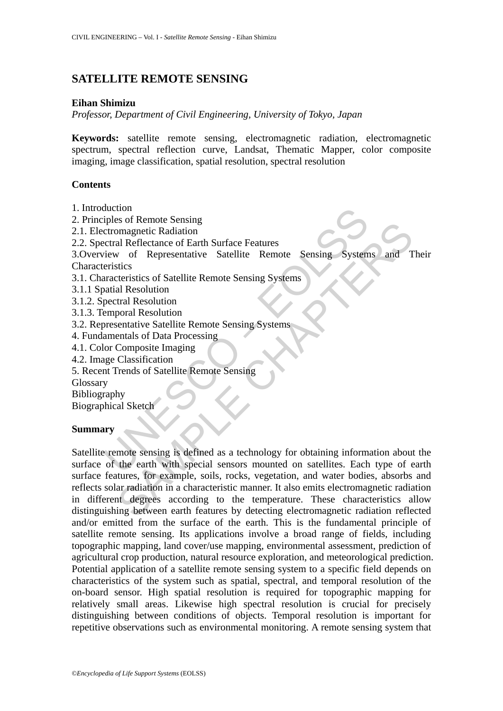# **SATELLITE REMOTE SENSING**

### **Eihan Shimizu**

*Professor, Department of Civil Engineering, University of Tokyo, Japan* 

**Keywords:** satellite remote sensing, electromagnetic radiation, electromagnetic spectrum, spectral reflection curve, Landsat, Thematic Mapper, color composite imaging, image classification, spatial resolution, spectral resolution

### **Contents**

- 1. Introduction
- 2. Principles of Remote Sensing
- 2.1. Electromagnetic Radiation
- 2.2. Spectral Reflectance of Earth Surface Features

3.Overview of Representative Satellite Remote Sensing Systems and Their **Characteristics** 

- 3.1. Characteristics of Satellite Remote Sensing Systems
- 3.1.1 Spatial Resolution
- 3.1.2. Spectral Resolution
- 3.1.3. Temporal Resolution
- 3.2. Representative Satellite Remote Sensing Systems
- 4. Fundamentals of Data Processing
- 4.1. Color Composite Imaging
- 4.2. Image Classification
- 5. Recent Trends of Satellite Remote Sensing

Glossary

Bibliography

Biographical Sketch

## **Summary**

division<br>person (Remote Sensing<br>terromagnetic Radiation<br>critral Reflectance of Earth Surface Features<br>iew of Representative Satellite Remote Sensing System<br>eristics<br>antail Resolution<br>pectral Resolution<br>pectral Resolution<br>p So recharged Realistics<br>
and Reflectance of Earth Surface Features<br>
we of Representative Satellite Remote Sensing Systems and T<br>
stratics<br>
trieristics of Satellite Remote Sensing Systems<br>
al Resolution<br>
cornal Resolution<br> Satellite remote sensing is defined as a technology for obtaining information about the surface of the earth with special sensors mounted on satellites. Each type of earth surface features, for example, soils, rocks, vegetation, and water bodies, absorbs and reflects solar radiation in a characteristic manner. It also emits electromagnetic radiation in different degrees according to the temperature. These characteristics allow distinguishing between earth features by detecting electromagnetic radiation reflected and/or emitted from the surface of the earth. This is the fundamental principle of satellite remote sensing. Its applications involve a broad range of fields, including topographic mapping, land cover/use mapping, environmental assessment, prediction of agricultural crop production, natural resource exploration, and meteorological prediction. Potential application of a satellite remote sensing system to a specific field depends on characteristics of the system such as spatial, spectral, and temporal resolution of the on-board sensor. High spatial resolution is required for topographic mapping for relatively small areas. Likewise high spectral resolution is crucial for precisely distinguishing between conditions of objects. Temporal resolution is important for repetitive observations such as environmental monitoring. A remote sensing system that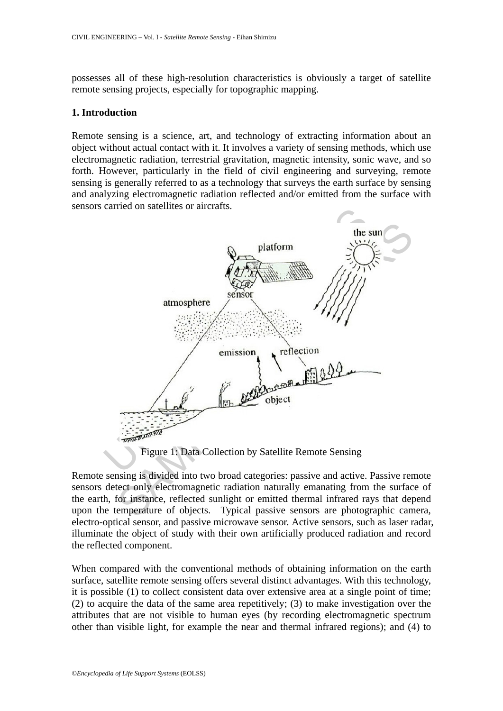possesses all of these high-resolution characteristics is obviously a target of satellite remote sensing projects, especially for topographic mapping.

### **1. Introduction**

Remote sensing is a science, art, and technology of extracting information about an object without actual contact with it. It involves a variety of sensing methods, which use electromagnetic radiation, terrestrial gravitation, magnetic intensity, sonic wave, and so forth. However, particularly in the field of civil engineering and surveying, remote sensing is generally referred to as a technology that surveys the earth surface by sensing and analyzing electromagnetic radiation reflected and/or emitted from the surface with sensors carried on satellites or aircrafts.



Figure 1: Data Collection by Satellite Remote Sensing

Remote sensing is divided into two broad categories: passive and active. Passive remote sensors detect only electromagnetic radiation naturally emanating from the surface of the earth, for instance, reflected sunlight or emitted thermal infrared rays that depend upon the temperature of objects. Typical passive sensors are photographic camera, electro-optical sensor, and passive microwave sensor. Active sensors, such as laser radar, illuminate the object of study with their own artificially produced radiation and record the reflected component.

When compared with the conventional methods of obtaining information on the earth surface, satellite remote sensing offers several distinct advantages. With this technology, it is possible (1) to collect consistent data over extensive area at a single point of time; (2) to acquire the data of the same area repetitively; (3) to make investigation over the attributes that are not visible to human eyes (by recording electromagnetic spectrum other than visible light, for example the near and thermal infrared regions); and (4) to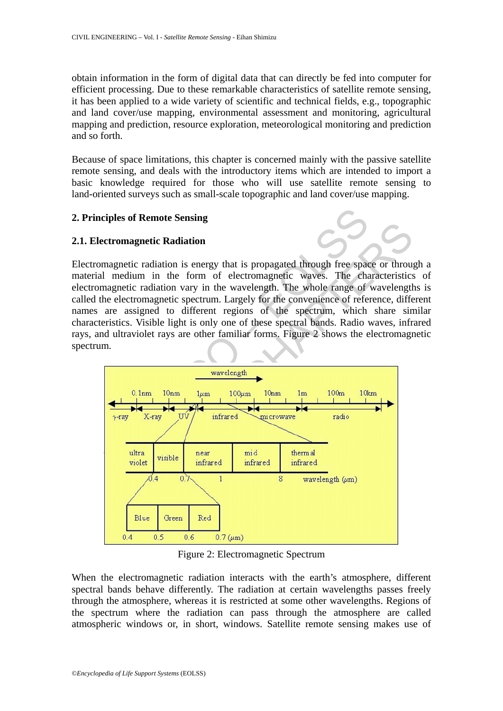obtain information in the form of digital data that can directly be fed into computer for efficient processing. Due to these remarkable characteristics of satellite remote sensing, it has been applied to a wide variety of scientific and technical fields, e.g., topographic and land cover/use mapping, environmental assessment and monitoring, agricultural mapping and prediction, resource exploration, meteorological monitoring and prediction and so forth.

Because of space limitations, this chapter is concerned mainly with the passive satellite remote sensing, and deals with the introductory items which are intended to import a basic knowledge required for those who will use satellite remote sensing to land-oriented surveys such as small-scale topographic and land cover/use mapping.

# **2. Principles of Remote Sensing**

## **2.1. Electromagnetic Radiation**

Electromagnetic radiation is energy that is propagated through free space or through a material medium in the form of electromagnetic waves. The characteristics of electromagnetic radiation vary in the wavelength. The whole range of wavelengths is called the electromagnetic spectrum. Largely for the convenience of reference, different names are assigned to different regions of the spectrum, which share similar characteristics. Visible light is only one of these spectral bands. Radio waves, infrared rays, and ultraviolet rays are other familiar forms. Figure 2 shows the electromagnetic spectrum.



Figure 2: Electromagnetic Spectrum

When the electromagnetic radiation interacts with the earth's atmosphere, different spectral bands behave differently. The radiation at certain wavelengths passes freely through the atmosphere, whereas it is restricted at some other wavelengths. Regions of the spectrum where the radiation can pass through the atmosphere are called atmospheric windows or, in short, windows. Satellite remote sensing makes use of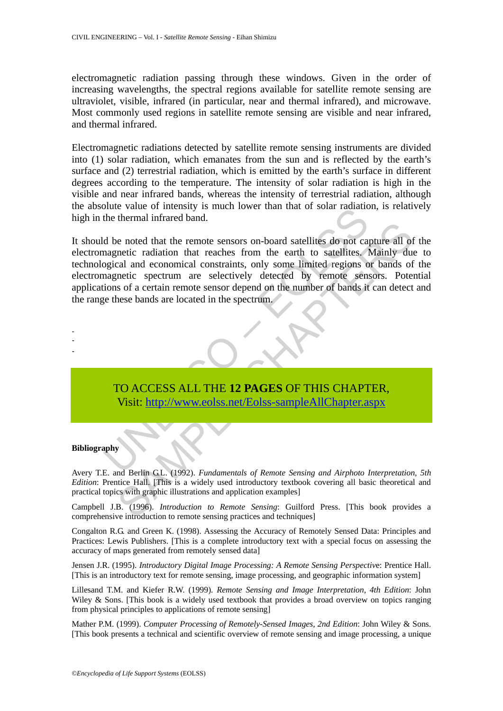electromagnetic radiation passing through these windows. Given in the order of increasing wavelengths, the spectral regions available for satellite remote sensing are ultraviolet, visible, infrared (in particular, near and thermal infrared), and microwave. Most commonly used regions in satellite remote sensing are visible and near infrared, and thermal infrared.

Electromagnetic radiations detected by satellite remote sensing instruments are divided into (1) solar radiation, which emanates from the sun and is reflected by the earth's surface and (2) terrestrial radiation, which is emitted by the earth's surface in different degrees according to the temperature. The intensity of solar radiation is high in the visible and near infrared bands, whereas the intensity of terrestrial radiation, although the absolute value of intensity is much lower than that of solar radiation, is relatively high in the thermal infrared band.

The value of intensity is much lower than that of solar radiation<br>the thermal infrared band.<br>d be noted that the remote sensors on-board satellites do not can<br>agnetic radiation that reaches from the earth to satellites.<br>Ag meter radiation that methods entough the method of capture all of<br>the method and conomical constraints, only some limited regions or bands of<br>netic radiation are selectively detected by remote sensors. Pote<br>so f a certain It should be noted that the remote sensors on-board satellites do not capture all of the electromagnetic radiation that reaches from the earth to satellites. Mainly due to technological and economical constraints, only some limited regions or bands of the electromagnetic spectrum are selectively detected by remote sensors. Potential applications of a certain remote sensor depend on the number of bands it can detect and the range these bands are located in the spectrum.

# TO ACCESS ALL THE **12 PAGES** OF THIS CHAPTER, Visit: http://www.eolss.net/Eolss-sampleAllChapter.aspx

#### **Bibliography**

- - -

Avery T.E. and Berlin G.L. (1992). *Fundamentals of Remote Sensing and Airphoto Interpretation, 5th Edition*: Prentice Hall. [This is a widely used introductory textbook covering all basic theoretical and practical topics with graphic illustrations and application examples]

Campbell J.B. (1996). *Introduction to Remote Sensing*: Guilford Press. [This book provides a comprehensive introduction to remote sensing practices and techniques]

Congalton R.G. and Green K. (1998). Assessing the Accuracy of Remotely Sensed Data: Principles and Practices: Lewis Publishers. [This is a complete introductory text with a special focus on assessing the accuracy of maps generated from remotely sensed data]

Jensen J.R. (1995). *Introductory Digital Image Processing: A Remote Sensing Perspectiv*e: Prentice Hall. [This is an introductory text for remote sensing, image processing, and geographic information system]

Lillesand T.M. and Kiefer R.W. (1999). *Remote Sensing and Image Interpretation, 4th Edition*: John Wiley & Sons. [This book is a widely used textbook that provides a broad overview on topics ranging from physical principles to applications of remote sensing]

Mather P.M. (1999). *Computer Processing of Remotely-Sensed Images, 2nd Edition*: John Wiley & Sons. [This book presents a technical and scientific overview of remote sensing and image processing, a unique